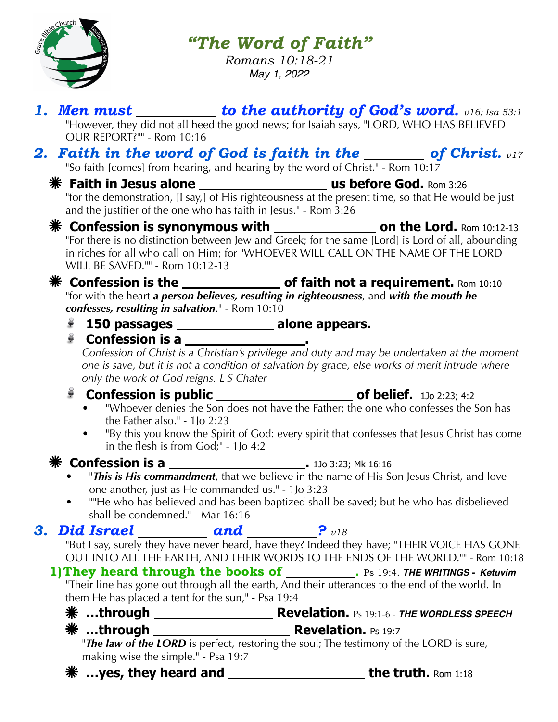

*"The Word of Faith"*

*Romans 10:18-21 May 1, 2022*

|    | OUR REPORT?"" - Rom 10:16                                                                                                                                                                                                                                                                                                                                                                                                                                                                                                     | 1. Men must $\_\_\_\_\_\_$ to the authority of God's word. $v16$ ; Isa 53:1<br>"However, they did not all heed the good news; for Isaiah says, "LORD, WHO HAS BELIEVED                |  |
|----|-------------------------------------------------------------------------------------------------------------------------------------------------------------------------------------------------------------------------------------------------------------------------------------------------------------------------------------------------------------------------------------------------------------------------------------------------------------------------------------------------------------------------------|---------------------------------------------------------------------------------------------------------------------------------------------------------------------------------------|--|
|    |                                                                                                                                                                                                                                                                                                                                                                                                                                                                                                                               | 2. Faith in the word of God is faith in the $\_\_\_\_$ of Christ. $v17$<br>"So faith [comes] from hearing, and hearing by the word of Christ." - Rom 10:17                            |  |
|    |                                                                                                                                                                                                                                                                                                                                                                                                                                                                                                                               | "for the demonstration, [I say,] of His righteousness at the present time, so that He would be just<br>and the justifier of the one who has faith in Jesus." - Rom 3:26               |  |
|    | WILL BE SAVED."" - Rom 10:12-13                                                                                                                                                                                                                                                                                                                                                                                                                                                                                               | in riches for all who call on Him; for "WHOEVER WILL CALL ON THE NAME OF THE LORD                                                                                                     |  |
|    | <b>* Confession is the ________________ of faith not a requirement.</b> Rom 10:10<br>"for with the heart a person believes, resulting in righteousness, and with the mouth he<br>confesses, resulting in salvation." - Rom 10:10                                                                                                                                                                                                                                                                                              |                                                                                                                                                                                       |  |
|    | $\sum_{i=1}^{n}$                                                                                                                                                                                                                                                                                                                                                                                                                                                                                                              | 150 passages __________________ alone appears.                                                                                                                                        |  |
|    | $\epsilon$<br>Confession is a ___________________<br>Confession of Christ is a Christian's privilege and duty and may be undertaken at the moment<br>one is save, but it is not a condition of salvation by grace, else works of merit intrude where<br>only the work of God reigns. L S Chafer<br>ĕ<br>"Whoever denies the Son does not have the Father; the one who confesses the Son has<br>the Father also." - $1$ Jo 2:23<br>"By this you know the Spirit of God: every spirit that confesses that Jesus Christ has come |                                                                                                                                                                                       |  |
|    |                                                                                                                                                                                                                                                                                                                                                                                                                                                                                                                               | in the flesh is from God;" - 1Jo 4:2                                                                                                                                                  |  |
|    | one another, just as He commanded us." - 1Jo 3:23<br>"He who has believed and has been baptized shall be saved; but he who has disbelieved<br>shall be condemned." - Mar 16:16                                                                                                                                                                                                                                                                                                                                                |                                                                                                                                                                                       |  |
| 3. |                                                                                                                                                                                                                                                                                                                                                                                                                                                                                                                               | <b>Did Israel</b> $\qquad \qquad \text{and} \qquad \qquad \qquad \text{? } v18$                                                                                                       |  |
|    |                                                                                                                                                                                                                                                                                                                                                                                                                                                                                                                               | "But I say, surely they have never heard, have they? Indeed they have; "THEIR VOICE HAS GONE<br>OUT INTO ALL THE EARTH, AND THEIR WORDS TO THE ENDS OF THE WORLD."" - Rom 10:18       |  |
|    | them He has placed a tent for the sun," - Psa 19:4                                                                                                                                                                                                                                                                                                                                                                                                                                                                            | <b>1) They heard through the books of ________</b> . Ps 19:4. THE WRITINGS - Ketuvim "Their line has gone out through all the earth, And their utterances to the end of the world. In |  |
|    |                                                                                                                                                                                                                                                                                                                                                                                                                                                                                                                               |                                                                                                                                                                                       |  |
|    | making wise the simple." - Psa 19:7                                                                                                                                                                                                                                                                                                                                                                                                                                                                                           | "The law of the LORD is perfect, restoring the soul; The testimony of the LORD is sure,                                                                                               |  |
|    |                                                                                                                                                                                                                                                                                                                                                                                                                                                                                                                               | <b>**</b> yes, they heard and _________________________the truth. Rom 1:18                                                                                                            |  |